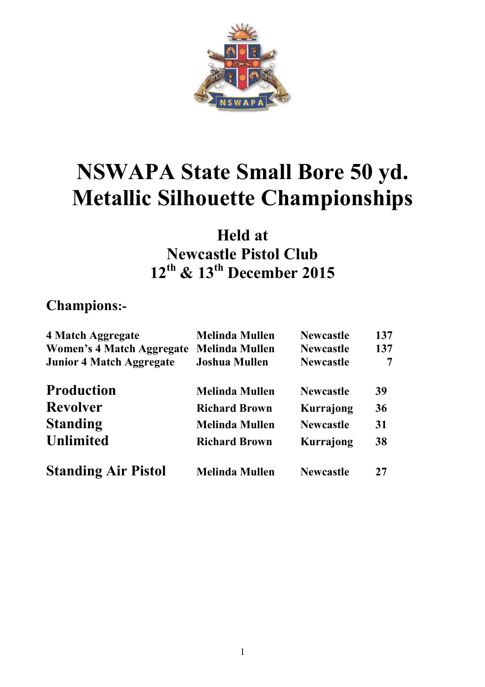

# **NSWAPA State Small Bore 50 yd. Metallic Silhouette Championships**

# **Held at Newcastle Pistol Club 12th & 13th December 2015**

### **Champions:-**

| 4 Match Aggregate<br><b>Women's 4 Match Aggregate</b> | <b>Melinda Mullen</b><br><b>Melinda Mullen</b> | <b>Newcastle</b><br><b>Newcastle</b> | 137<br>137 |
|-------------------------------------------------------|------------------------------------------------|--------------------------------------|------------|
| <b>Junior 4 Match Aggregate</b>                       | <b>Joshua Mullen</b>                           | <b>Newcastle</b>                     | 7          |
| <b>Production</b>                                     | <b>Melinda Mullen</b>                          | <b>Newcastle</b>                     | 39         |
| <b>Revolver</b>                                       | <b>Richard Brown</b>                           | Kurrajong                            | 36         |
| <b>Standing</b>                                       | <b>Melinda Mullen</b>                          | <b>Newcastle</b>                     | 31         |
| <b>Unlimited</b>                                      | <b>Richard Brown</b>                           | Kurrajong                            | 38         |
| <b>Standing Air Pistol</b>                            | <b>Melinda Mullen</b>                          | <b>Newcastle</b>                     | 27         |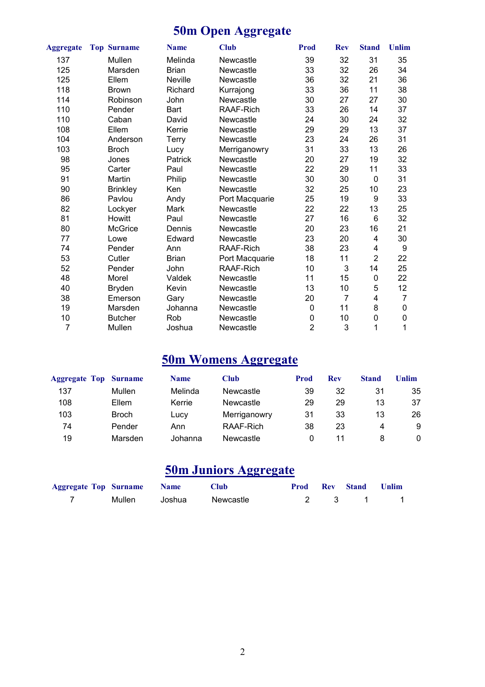# **50m Open Aggregate**

| <b>Aggregate</b> | <b>Top Surname</b> | <b>Name</b>  | <b>Club</b>    | Prod           | <b>Rev</b>     | <b>Stand</b>   | Unlim          |
|------------------|--------------------|--------------|----------------|----------------|----------------|----------------|----------------|
| 137              | Mullen             | Melinda      | Newcastle      | 39             | 32             | 31             | 35             |
| 125              | Marsden            | <b>Brian</b> | Newcastle      | 33             | 32             | 26             | 34             |
| 125              | Ellem              | Neville      | Newcastle      | 36             | 32             | 21             | 36             |
| 118              | <b>Brown</b>       | Richard      | Kurrajong      | 33             | 36             | 11             | 38             |
| 114              | Robinson           | John         | Newcastle      | 30             | 27             | 27             | 30             |
| 110              | Pender             | Bart         | RAAF-Rich      | 33             | 26             | 14             | 37             |
| 110              | Caban              | David        | Newcastle      | 24             | 30             | 24             | 32             |
| 108              | Ellem              | Kerrie       | Newcastle      | 29             | 29             | 13             | 37             |
| 104              | Anderson           | Terry        | Newcastle      | 23             | 24             | 26             | 31             |
| 103              | <b>Broch</b>       | Lucy         | Merriganowry   | 31             | 33             | 13             | 26             |
| 98               | Jones              | Patrick      | Newcastle      | 20             | 27             | 19             | 32             |
| 95               | Carter             | Paul         | Newcastle      | 22             | 29             | 11             | 33             |
| 91               | Martin             | Philip       | Newcastle      | 30             | 30             | $\mathbf 0$    | 31             |
| 90               | <b>Brinkley</b>    | Ken          | Newcastle      | 32             | 25             | 10             | 23             |
| 86               | Pavlou             | Andy         | Port Macquarie | 25             | 19             | 9              | 33             |
| 82               | Lockyer            | Mark         | Newcastle      | 22             | 22             | 13             | 25             |
| 81               | Howitt             | Paul         | Newcastle      | 27             | 16             | $\,6$          | 32             |
| 80               | <b>McGrice</b>     | Dennis       | Newcastle      | 20             | 23             | 16             | 21             |
| 77               | Lowe               | Edward       | Newcastle      | 23             | 20             | 4              | 30             |
| 74               | Pender             | Ann          | RAAF-Rich      | 38             | 23             | 4              | 9              |
| 53               | Cutler             | <b>Brian</b> | Port Macquarie | 18             | 11             | $\overline{2}$ | 22             |
| 52               | Pender             | John         | RAAF-Rich      | 10             | 3              | 14             | 25             |
| 48               | Morel              | Valdek       | Newcastle      | 11             | 15             | $\pmb{0}$      | 22             |
| 40               | Bryden             | Kevin        | Newcastle      | 13             | 10             | 5              | 12             |
| 38               | Emerson            | Gary         | Newcastle      | 20             | $\overline{7}$ | 4              | $\overline{7}$ |
| 19               | Marsden            | Johanna      | Newcastle      | 0              | 11             | 8              | $\pmb{0}$      |
| 10               | <b>Butcher</b>     | Rob          | Newcastle      | 0              | 10             | 0              | 0              |
| 7                | Mullen             | Joshua       | Newcastle      | $\overline{2}$ | 3              | 1              | 1              |

# **50m Womens Aggregate**

| <b>Aggregate Top</b> | <b>Surname</b> | <b>Name</b> | Club         | Prod | <b>Rev</b> | <b>Stand</b> | Unlim |
|----------------------|----------------|-------------|--------------|------|------------|--------------|-------|
| 137                  | Mullen         | Melinda     | Newcastle    | 39   | 32         | 31           | 35    |
| 108                  | Ellem          | Kerrie      | Newcastle    | 29   | 29         | 13           | 37    |
| 103                  | <b>Broch</b>   | Lucy        | Merriganowry | 31   | 33         | 13           | 26    |
| 74                   | Pender         | Ann         | RAAF-Rich    | 38   | 23         | 4            | -9    |
| 19                   | Marsden        | Johanna     | Newcastle    | 0    | 11         |              | 0     |

### **50m Juniors Aggregate**

| <b>Aggregate Top Surname Name</b> |               | <b>Club</b> |  | <b>Prod Rev Stand Unlim</b> |  |
|-----------------------------------|---------------|-------------|--|-----------------------------|--|
|                                   | Mullen Joshua | Newcastle   |  | 2 3 1 1                     |  |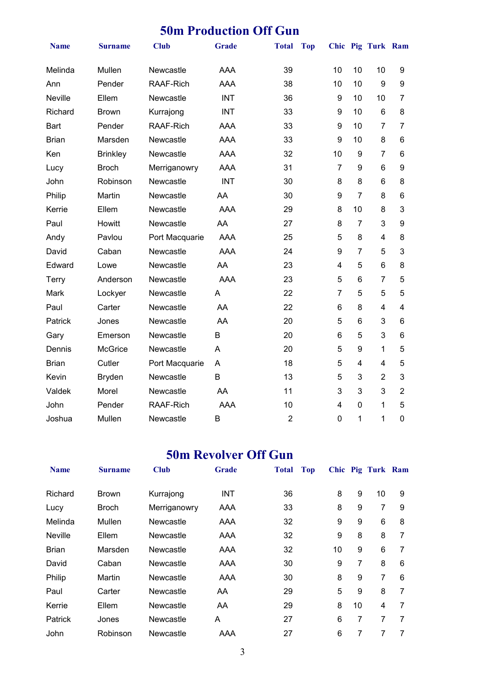#### **50m Production Off Gun**

| <b>Name</b>  | <b>Surname</b>  | <b>Club</b>      | <b>Grade</b> | <b>Total</b>   | <b>Top</b> |                              | Chic Pig Turk Ram |                |
|--------------|-----------------|------------------|--------------|----------------|------------|------------------------------|-------------------|----------------|
| Melinda      | Mullen          | Newcastle        | <b>AAA</b>   | 39             | 10         | 10                           | 10                | 9              |
| Ann          | Pender          | <b>RAAF-Rich</b> | <b>AAA</b>   | 38             | 10         | 10                           | 9                 | 9              |
| Neville      | Ellem           | Newcastle        | <b>INT</b>   | 36             |            | 9<br>10                      | 10                | $\overline{7}$ |
| Richard      | <b>Brown</b>    | Kurrajong        | <b>INT</b>   | 33             |            | 10<br>9                      | 6                 | 8              |
| <b>Bart</b>  | Pender          | RAAF-Rich        | <b>AAA</b>   | 33             |            | 10<br>9                      | $\overline{7}$    | $\overline{7}$ |
| <b>Brian</b> | Marsden         | Newcastle        | <b>AAA</b>   | 33             | 9          | 10                           | 8                 | 6              |
| Ken          | <b>Brinkley</b> | Newcastle        | <b>AAA</b>   | 32             | 10         | 9                            | $\overline{7}$    | 6              |
| Lucy         | <b>Broch</b>    | Merriganowry     | <b>AAA</b>   | 31             |            | $\overline{7}$<br>9          | 6                 | 9              |
| John         | Robinson        | Newcastle        | <b>INT</b>   | 30             |            | 8<br>8                       | 6                 | 8              |
| Philip       | Martin          | Newcastle        | AA           | 30             |            | 9<br>$\overline{7}$          | 8                 | 6              |
| Kerrie       | Ellem           | Newcastle        | <b>AAA</b>   | 29             |            | 10<br>8                      | 8                 | 3              |
| Paul         | Howitt          | Newcastle        | AA           | 27             |            | $\overline{7}$<br>8          | 3                 | 9              |
| Andy         | Pavlou          | Port Macquarie   | <b>AAA</b>   | 25             |            | 5<br>8                       | $\overline{4}$    | 8              |
| David        | Caban           | Newcastle        | <b>AAA</b>   | 24             | 9          | $\overline{7}$               | 5                 | 3              |
| Edward       | Lowe            | Newcastle        | AA           | 23             |            | 4<br>5                       | 6                 | 8              |
| Terry        | Anderson        | Newcastle        | <b>AAA</b>   | 23             |            | 5<br>6                       | $\overline{7}$    | 5              |
| Mark         | Lockyer         | Newcastle        | A            | 22             |            | $\overline{7}$<br>5          | 5                 | 5              |
| Paul         | Carter          | Newcastle        | AA           | 22             |            | 8<br>6                       | $\overline{4}$    | 4              |
| Patrick      | Jones           | Newcastle        | AA           | 20             |            | 5<br>6                       | 3                 | 6              |
| Gary         | Emerson         | Newcastle        | В            | 20             |            | 5<br>6                       | 3                 | 6              |
| Dennis       | McGrice         | Newcastle        | A            | 20             |            | 5<br>9                       | $\mathbf{1}$      | 5              |
| <b>Brian</b> | Cutler          | Port Macquarie   | Α            | 18             |            | 5<br>$\overline{\mathbf{4}}$ | $\overline{4}$    | 5              |
| Kevin        | <b>Bryden</b>   | Newcastle        | B            | 13             |            | 5<br>3                       | $\overline{2}$    | 3              |
| Valdek       | Morel           | Newcastle        | AA           | 11             |            | 3<br>3                       | 3                 | $\overline{2}$ |
| John         | Pender          | RAAF-Rich        | <b>AAA</b>   | 10             |            | $\pmb{0}$<br>4               | 1                 | 5              |
| Joshua       | Mullen          | Newcastle        | B            | $\overline{2}$ | 0          | 1                            | 1                 | 0              |

### **50m Revolver Off Gun**

| <b>Name</b>    | <b>Surname</b> | <b>Club</b>  | Grade      | <b>Total</b> | <b>Top</b> |    |    | Chic Pig Turk Ram |   |
|----------------|----------------|--------------|------------|--------------|------------|----|----|-------------------|---|
| Richard        | <b>Brown</b>   | Kurrajong    | <b>INT</b> | 36           |            | 8  | 9  | 10                | 9 |
| Lucy           | Broch          | Merriganowry | AAA        | 33           |            | 8  | 9  | 7                 | 9 |
| Melinda        | Mullen         | Newcastle    | AAA        | 32           |            | 9  | 9  | 6                 | 8 |
| <b>Neville</b> | Ellem          | Newcastle    | AAA        | 32           |            | 9  | 8  | 8                 | 7 |
| Brian          | Marsden        | Newcastle    | AAA        | 32           |            | 10 | 9  | 6                 | 7 |
| David          | Caban          | Newcastle    | AAA        | 30           |            | 9  | 7  | 8                 | 6 |
| Philip         | Martin         | Newcastle    | AAA        | 30           |            | 8  | 9  | 7                 | 6 |
| Paul           | Carter         | Newcastle    | AA.        | 29           |            | 5  | 9  | 8                 | 7 |
| Kerrie         | Ellem          | Newcastle    | AA         | 29           |            | 8  | 10 | 4                 | 7 |
| <b>Patrick</b> | Jones          | Newcastle    | A          | 27           |            | 6  | 7  | 7                 | 7 |
| John           | Robinson       | Newcastle    | AAA        | 27           |            | 6  | 7  | 7                 |   |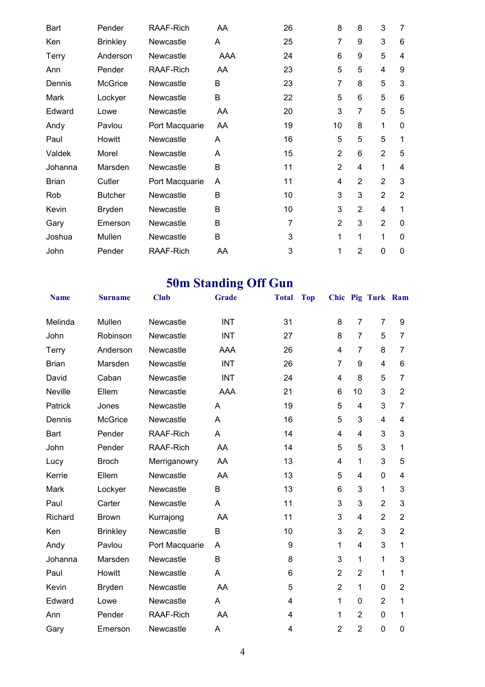| <b>Bart</b>  | Pender          | RAAF-Rich        | AA  | 26             | 8              | 8              | 3              | 7              |
|--------------|-----------------|------------------|-----|----------------|----------------|----------------|----------------|----------------|
| Ken          | <b>Brinkley</b> | Newcastle        | Α   | 25             | 7              | 9              | 3              | 6              |
| <b>Terry</b> | Anderson        | Newcastle        | AAA | 24             | 6              | 9              | 5              | 4              |
| Ann          | Pender          | RAAF-Rich        | AA  | 23             | 5              | 5              | 4              | 9              |
| Dennis       | <b>McGrice</b>  | Newcastle        | В   | 23             | 7              | 8              | 5              | 3              |
| Mark         | Lockyer         | Newcastle        | B   | 22             | 5              | 6              | 5              | 6              |
| Edward       | Lowe            | Newcastle        | AA  | 20             | 3              | 7              | 5              | 5              |
| Andy         | Pavlou          | Port Macquarie   | AA  | 19             | 10             | 8              | 1              | 0              |
| Paul         | Howitt          | Newcastle        | A   | 16             | 5              | 5              | 5              | 1              |
| Valdek       | Morel           | Newcastle        | A   | 15             | $\overline{2}$ | 6              | $\overline{2}$ | 5              |
| Johanna      | Marsden         | Newcastle        | B   | 11             | $\overline{2}$ | 4              | 1              | 4              |
| <b>Brian</b> | Cutler          | Port Macquarie   | A   | 11             | 4              | $\overline{2}$ | $\overline{2}$ | 3              |
| Rob          | <b>Butcher</b>  | Newcastle        | B   | 10             | 3              | 3              | $\overline{2}$ | $\overline{2}$ |
| Kevin        | <b>Bryden</b>   | Newcastle        | B   | 10             | 3              | $\overline{2}$ | 4              | 1              |
| Gary         | Emerson         | Newcastle        | B   | $\overline{7}$ | $\overline{2}$ | 3              | $\overline{2}$ | $\mathbf 0$    |
| Joshua       | Mullen          | Newcastle        | B   | 3              | 1              | 1              | 1              | $\mathbf{0}$   |
| John         | Pender          | <b>RAAF-Rich</b> | AA  | 3              | 1              | $\overline{2}$ | 0              | 0              |

# **50m Standing Off Gun**

| <b>Name</b>  | <b>Surname</b>  | <b>Club</b>      | <b>Grade</b> | <b>Total</b> | <b>Top</b> |                |                | Chic Pig Turk Ram |                |
|--------------|-----------------|------------------|--------------|--------------|------------|----------------|----------------|-------------------|----------------|
| Melinda      | Mullen          | Newcastle        | <b>INT</b>   | 31           |            | 8              | $\overline{7}$ | $\overline{7}$    | 9              |
| John         | Robinson        | Newcastle        | <b>INT</b>   | 27           |            | 8              | $\overline{7}$ | 5                 | $\overline{7}$ |
| Terry        | Anderson        | Newcastle        | <b>AAA</b>   | 26           |            | 4              | $\overline{7}$ | 8                 | $\overline{7}$ |
| <b>Brian</b> | Marsden         | Newcastle        | <b>INT</b>   | 26           |            | $\overline{7}$ | 9              | 4                 | 6              |
| David        | Caban           | Newcastle        | <b>INT</b>   | 24           |            | 4              | 8              | 5                 | $\overline{7}$ |
| Neville      | Ellem           | Newcastle        | <b>AAA</b>   | 21           |            | 6              | 10             | 3                 | $\overline{2}$ |
| Patrick      | Jones           | Newcastle        | A            | 19           |            | 5              | 4              | 3                 | $\overline{7}$ |
| Dennis       | <b>McGrice</b>  | Newcastle        | A            | 16           |            | 5              | 3              | $\overline{4}$    | 4              |
| <b>Bart</b>  | Pender          | <b>RAAF-Rich</b> | A            | 14           |            | 4              | $\overline{4}$ | 3                 | 3              |
| John         | Pender          | RAAF-Rich        | AA           | 14           |            | 5              | 5              | 3                 | 1              |
| Lucy         | <b>Broch</b>    | Merriganowry     | AA           | 13           |            | 4              | 1              | 3                 | 5              |
| Kerrie       | Ellem           | Newcastle        | AA           | 13           |            | 5              | $\overline{4}$ | $\mathbf 0$       | 4              |
| Mark         | Lockyer         | Newcastle        | B            | 13           |            | 6              | 3              | 1                 | 3              |
| Paul         | Carter          | Newcastle        | A            | 11           |            | 3              | 3              | $\overline{2}$    | 3              |
| Richard      | <b>Brown</b>    | Kurrajong        | AA           | 11           |            | 3              | 4              | $\overline{2}$    | $\overline{2}$ |
| Ken          | <b>Brinkley</b> | Newcastle        | B            | 10           |            | 3              | $\overline{2}$ | 3                 | $\overline{2}$ |
| Andy         | Pavlou          | Port Macquarie   | A            | 9            |            | 1              | $\overline{4}$ | 3                 | 1              |
| Johanna      | Marsden         | Newcastle        | B            | 8            |            | 3              | 1              | 1                 | 3              |
| Paul         | Howitt          | Newcastle        | A            | 6            |            | $\overline{2}$ | $\overline{2}$ | 1                 | 1              |
| Kevin        | <b>Bryden</b>   | Newcastle        | AA           | 5            |            | $\overline{2}$ | 1              | 0                 | $\overline{2}$ |
| Edward       | Lowe            | Newcastle        | A            | 4            |            | 1              | $\mathbf 0$    | $\overline{2}$    | 1              |
| Ann          | Pender          | RAAF-Rich        | AA           | 4            |            | 1              | $\overline{2}$ | $\pmb{0}$         | 1              |
| Gary         | Emerson         | Newcastle        | Α            | 4            |            | $\overline{2}$ | $\overline{2}$ | 0                 | 0              |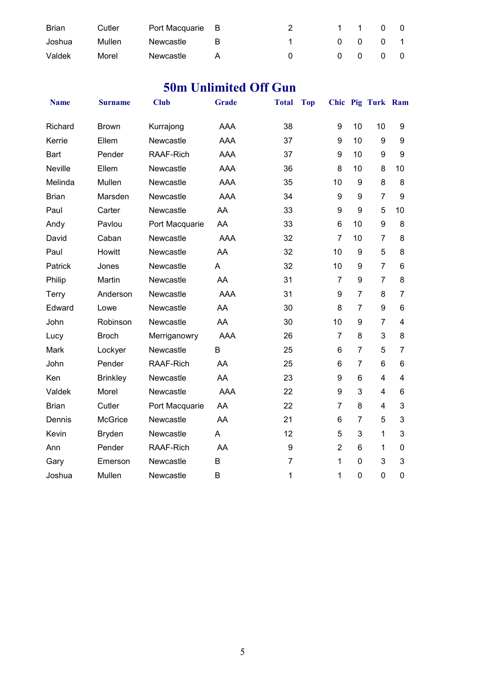| <b>Brian</b> | Cutler | Port Macquarie B |   | 1 1 |                     | $0\quad 0$ |                |
|--------------|--------|------------------|---|-----|---------------------|------------|----------------|
| Joshua       | Mullen | Newcastle        | R |     | 0 0 0 1             |            |                |
| Valdek       | Morel  | Newcastle        |   |     | $0 \quad 0 \quad 0$ |            | $\overline{0}$ |

### **50m Unlimited Off Gun**

| <b>Name</b>  | <b>Surname</b>  | <b>Club</b>    | <b>Grade</b> | <b>Total</b>   | <b>Top</b>     |                  | Chic Pig Turk Ram |                |
|--------------|-----------------|----------------|--------------|----------------|----------------|------------------|-------------------|----------------|
| Richard      | <b>Brown</b>    | Kurrajong      | <b>AAA</b>   | 38             | 9              | 10               | 10                | 9              |
| Kerrie       | Ellem           | Newcastle      | <b>AAA</b>   | 37             | 9              | 10               | 9                 | 9              |
| <b>Bart</b>  | Pender          | RAAF-Rich      | <b>AAA</b>   | 37             | 9              | 10               | 9                 | 9              |
| Neville      | Ellem           | Newcastle      | <b>AAA</b>   | 36             | 8              | 10               | 8                 | 10             |
| Melinda      | Mullen          | Newcastle      | <b>AAA</b>   | 35             | 10             | 9                | 8                 | 8              |
| <b>Brian</b> | Marsden         | Newcastle      | <b>AAA</b>   | 34             | 9              | 9                | $\overline{7}$    | 9              |
| Paul         | Carter          | Newcastle      | AA           | 33             | 9              | 9                | 5                 | 10             |
| Andy         | Pavlou          | Port Macquarie | AA           | 33             | 6              | 10               | $\boldsymbol{9}$  | 8              |
| David        | Caban           | Newcastle      | <b>AAA</b>   | 32             | $\overline{7}$ | 10               | $\overline{7}$    | 8              |
| Paul         | Howitt          | Newcastle      | AA           | 32             | 10             | $\boldsymbol{9}$ | 5                 | 8              |
| Patrick      | Jones           | Newcastle      | A            | 32             | 10             | $\boldsymbol{9}$ | $\overline{7}$    | $6\phantom{1}$ |
| Philip       | Martin          | Newcastle      | AA           | 31             | 7              | 9                | $\overline{7}$    | 8              |
| Terry        | Anderson        | Newcastle      | <b>AAA</b>   | 31             | 9              | $\overline{7}$   | 8                 | $\overline{7}$ |
| Edward       | Lowe            | Newcastle      | AA           | 30             | 8              | $\overline{7}$   | 9                 | 6              |
| John         | Robinson        | Newcastle      | AA           | 30             | 10             | 9                | $\overline{7}$    | 4              |
| Lucy         | <b>Broch</b>    | Merriganowry   | <b>AAA</b>   | 26             | $\overline{7}$ | 8                | 3                 | 8              |
| Mark         | Lockyer         | Newcastle      | B            | 25             | 6              | $\overline{7}$   | 5                 | $\overline{7}$ |
| John         | Pender          | RAAF-Rich      | AA           | 25             | 6              | $\overline{7}$   | $6\phantom{1}$    | 6              |
| Ken          | <b>Brinkley</b> | Newcastle      | AA           | 23             | 9              | 6                | $\overline{4}$    | $\overline{4}$ |
| Valdek       | Morel           | Newcastle      | <b>AAA</b>   | 22             | 9              | 3                | $\overline{4}$    | 6              |
| <b>Brian</b> | Cutler          | Port Macquarie | AA           | 22             | $\overline{7}$ | 8                | 4                 | 3              |
| Dennis       | McGrice         | Newcastle      | AA           | 21             | 6              | $\overline{7}$   | 5                 | 3              |
| Kevin        | <b>Bryden</b>   | Newcastle      | A            | 12             | 5              | 3                | 1                 | 3              |
| Ann          | Pender          | RAAF-Rich      | AA           | 9              | $\overline{2}$ | 6                | 1                 | $\mathbf 0$    |
| Gary         | Emerson         | Newcastle      | B            | $\overline{7}$ | $\mathbf{1}$   | $\mathbf 0$      | 3                 | 3              |
| Joshua       | Mullen          | Newcastle      | B            | 1              | $\mathbf{1}$   | $\mathbf 0$      | $\overline{0}$    | $\mathbf 0$    |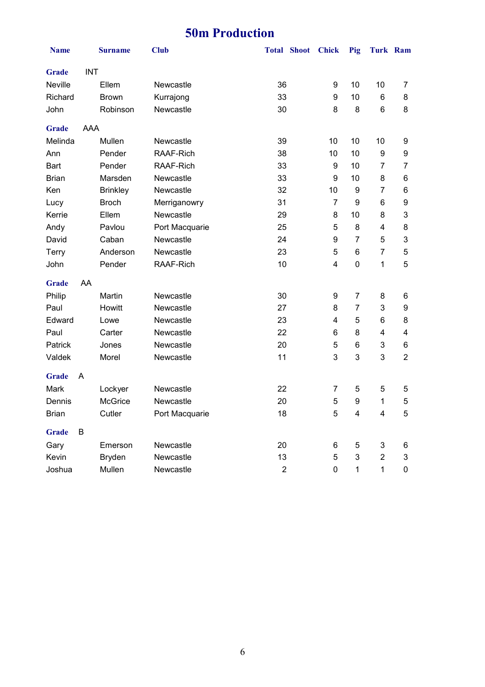# **50m Production**

| <b>Name</b>  |            | <b>Surname</b>  | <b>Club</b>    | <b>Total</b>   | <b>Shoot</b> | <b>Chick</b>   | Pig              | <b>Turk Ram</b> |                |
|--------------|------------|-----------------|----------------|----------------|--------------|----------------|------------------|-----------------|----------------|
| <b>Grade</b> | <b>INT</b> |                 |                |                |              |                |                  |                 |                |
| Neville      |            | Ellem           | Newcastle      | 36             |              | 9              | 10               | 10              | 7              |
| Richard      |            | <b>Brown</b>    | Kurrajong      | 33             |              | 9              | 10               | 6               | 8              |
| John         |            | Robinson        | Newcastle      | 30             |              | 8              | 8                | 6               | 8              |
| <b>Grade</b> | <b>AAA</b> |                 |                |                |              |                |                  |                 |                |
| Melinda      |            | Mullen          | Newcastle      | 39             |              | 10             | 10               | 10              | 9              |
| Ann          |            | Pender          | RAAF-Rich      | 38             |              | 10             | 10               | 9               | 9              |
| <b>Bart</b>  |            | Pender          | RAAF-Rich      | 33             |              | 9              | 10               | 7               | $\overline{7}$ |
| <b>Brian</b> |            | Marsden         | Newcastle      | 33             |              | 9              | 10               | 8               | 6              |
| Ken          |            | <b>Brinkley</b> | Newcastle      | 32             |              | 10             | 9                | 7               | 6              |
| Lucy         |            | <b>Broch</b>    | Merriganowry   | 31             |              | $\overline{7}$ | 9                | 6               | 9              |
| Kerrie       |            | Ellem           | Newcastle      | 29             |              | 8              | 10               | 8               | 3              |
| Andy         |            | Pavlou          | Port Macquarie | 25             |              | 5              | 8                | 4               | 8              |
| David        |            | Caban           | Newcastle      | 24             |              | 9              | $\overline{7}$   | 5               | 3              |
| Terry        |            | Anderson        | Newcastle      | 23             |              | 5              | 6                | $\overline{7}$  | $\mathbf 5$    |
| John         |            | Pender          | RAAF-Rich      | 10             |              | 4              | $\mathbf 0$      | 1               | 5              |
| <b>Grade</b> | AA         |                 |                |                |              |                |                  |                 |                |
| Philip       |            | Martin          | Newcastle      | 30             |              | 9              | $\overline{7}$   | 8               | 6              |
| Paul         |            | Howitt          | Newcastle      | 27             |              | 8              | $\overline{7}$   | 3               | 9              |
| Edward       |            | Lowe            | Newcastle      | 23             |              | 4              | 5                | 6               | 8              |
| Paul         |            | Carter          | Newcastle      | 22             |              | 6              | 8                | 4               | 4              |
| Patrick      |            | Jones           | Newcastle      | 20             |              | 5              | 6                | 3               | 6              |
| Valdek       |            | Morel           | Newcastle      | 11             |              | 3              | 3                | 3               | $\overline{2}$ |
| <b>Grade</b> | A          |                 |                |                |              |                |                  |                 |                |
| Mark         |            | Lockyer         | Newcastle      | 22             |              | 7              | 5                | 5               | 5              |
| Dennis       |            | <b>McGrice</b>  | Newcastle      | 20             |              | 5              | $\boldsymbol{9}$ | 1               | 5              |
| Brian        |            | Cutler          | Port Macquarie | 18             |              | 5              | 4                | 4               | 5              |
| <b>Grade</b> | B          |                 |                |                |              |                |                  |                 |                |
| Gary         |            | Emerson         | Newcastle      | 20             |              | 6              | $\mathbf 5$      | $\sqrt{3}$      | 6              |
| Kevin        |            | <b>Bryden</b>   | Newcastle      | 13             |              | 5              | $\mathsf 3$      | $\overline{2}$  | 3              |
| Joshua       |            | Mullen          | Newcastle      | $\overline{c}$ |              | 0              | $\mathbf{1}$     | 1               | 0              |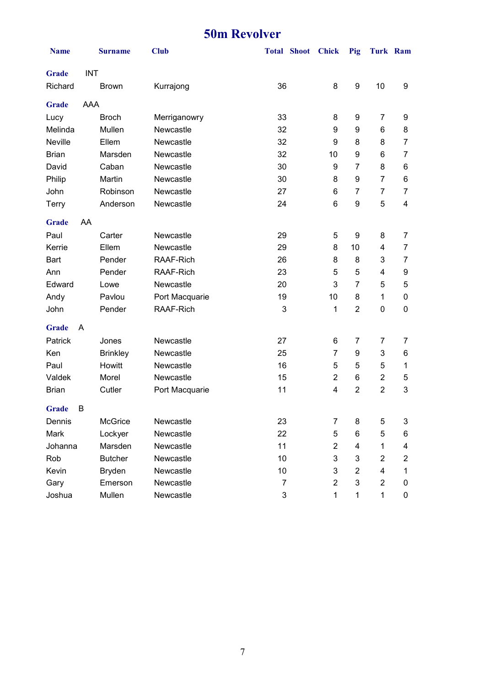### **50m Revolver**

| <b>Name</b>  |            | <b>Surname</b>  | <b>Club</b>    |                | <b>Total Shoot</b> | <b>Chick</b>   | Pig              | Turk Ram                |                |
|--------------|------------|-----------------|----------------|----------------|--------------------|----------------|------------------|-------------------------|----------------|
| <b>Grade</b> | <b>INT</b> |                 |                |                |                    |                |                  |                         |                |
| Richard      |            | <b>Brown</b>    | Kurrajong      | 36             |                    | 8              | $\boldsymbol{9}$ | 10                      | 9              |
| <b>Grade</b> | <b>AAA</b> |                 |                |                |                    |                |                  |                         |                |
| Lucy         |            | <b>Broch</b>    | Merriganowry   | 33             |                    | 8              | 9                | $\overline{7}$          | 9              |
| Melinda      |            | Mullen          | Newcastle      | 32             |                    | 9              | 9                | 6                       | 8              |
| Neville      |            | Ellem           | Newcastle      | 32             |                    | 9              | 8                | 8                       | $\overline{7}$ |
| <b>Brian</b> |            | Marsden         | Newcastle      | 32             |                    | 10             | 9                | 6                       | 7              |
| David        |            | Caban           | Newcastle      | 30             |                    | 9              | $\overline{7}$   | 8                       | 6              |
| Philip       |            | Martin          | Newcastle      | 30             |                    | 8              | 9                | 7                       | 6              |
| John         |            | Robinson        | Newcastle      | 27             |                    | 6              | $\overline{7}$   | 7                       | 7              |
| Terry        |            | Anderson        | Newcastle      | 24             |                    | 6              | 9                | 5                       | 4              |
| <b>Grade</b> | AA         |                 |                |                |                    |                |                  |                         |                |
| Paul         |            | Carter          | Newcastle      | 29             |                    | 5              | 9                | 8                       | 7              |
| Kerrie       |            | Ellem           | Newcastle      | 29             |                    | 8              | 10               | $\overline{\mathbf{4}}$ | $\overline{7}$ |
| <b>Bart</b>  |            | Pender          | RAAF-Rich      | 26             |                    | 8              | 8                | 3                       | 7              |
| Ann          |            | Pender          | RAAF-Rich      | 23             |                    | 5              | 5                | $\overline{\mathbf{4}}$ | 9              |
| Edward       |            | Lowe            | Newcastle      | 20             |                    | 3              | $\overline{7}$   | 5                       | 5              |
| Andy         |            | Pavlou          | Port Macquarie | 19             |                    | 10             | 8                | $\mathbf 1$             | $\pmb{0}$      |
| John         |            | Pender          | RAAF-Rich      | 3              |                    | 1              | $\overline{2}$   | $\mathbf 0$             | 0              |
| <b>Grade</b> | A          |                 |                |                |                    |                |                  |                         |                |
| Patrick      |            | Jones           | Newcastle      | 27             |                    | 6              | $\overline{7}$   | 7                       | $\overline{7}$ |
| Ken          |            | <b>Brinkley</b> | Newcastle      | 25             |                    | 7              | 9                | 3                       | 6              |
| Paul         |            | Howitt          | Newcastle      | 16             |                    | 5              | 5                | 5                       | 1              |
| Valdek       |            | Morel           | Newcastle      | 15             |                    | $\overline{2}$ | $\,6$            | $\overline{2}$          | 5              |
| <b>Brian</b> |            | Cutler          | Port Macquarie | 11             |                    | 4              | $\overline{2}$   | $\overline{2}$          | 3              |
| <b>Grade</b> | B          |                 |                |                |                    |                |                  |                         |                |
| Dennis       |            | McGrice         | Newcastle      | 23             |                    | 7              | 8                | 5                       | 3              |
| Mark         |            | Lockyer         | Newcastle      | 22             |                    | 5              | 6                | 5                       | 6              |
| Johanna      |            | Marsden         | Newcastle      | 11             |                    | 2              | 4                | 1                       | 4              |
| Rob          |            | <b>Butcher</b>  | Newcastle      | 10             |                    | 3              | 3                | $\overline{2}$          | $\overline{c}$ |
| Kevin        |            | <b>Bryden</b>   | Newcastle      | 10             |                    | 3              | $\overline{2}$   | 4                       | 1              |
| Gary         |            | Emerson         | Newcastle      | $\overline{7}$ |                    | $\overline{2}$ | 3                | $\overline{2}$          | 0              |
| Joshua       |            | Mullen          | Newcastle      | 3              |                    | 1              | 1                | $\mathbf{1}$            | 0              |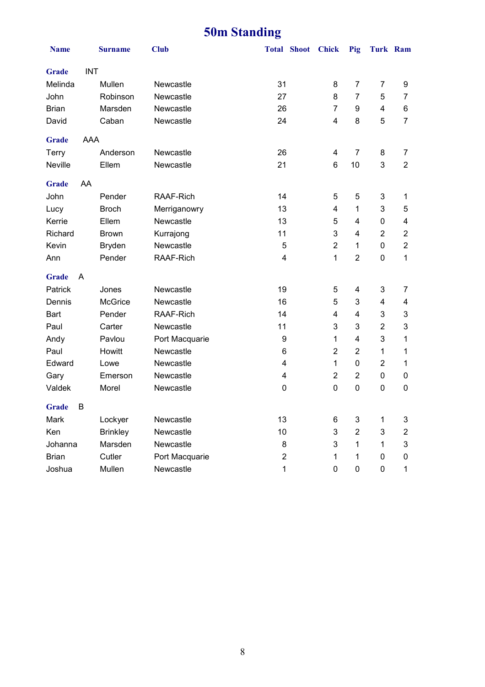# **50m Standing**

| <b>Name</b>       | <b>Surname</b>  | <b>Club</b>    | <b>Total Shoot</b> | <b>Chick</b>            | Pig            | <b>Turk Ram</b> |                         |
|-------------------|-----------------|----------------|--------------------|-------------------------|----------------|-----------------|-------------------------|
| <b>Grade</b>      | <b>INT</b>      |                |                    |                         |                |                 |                         |
| Melinda           | Mullen          | Newcastle      | 31                 | 8                       | $\overline{7}$ | 7               | 9                       |
| John              | Robinson        | Newcastle      | 27                 | 8                       | $\overline{7}$ | 5               | 7                       |
| <b>Brian</b>      | Marsden         | Newcastle      | 26                 | $\overline{7}$          | 9              | $\overline{4}$  | 6                       |
| David             | Caban           | Newcastle      | 24                 | 4                       | 8              | 5               | $\overline{7}$          |
| <b>Grade</b>      | AAA             |                |                    |                         |                |                 |                         |
| Terry             | Anderson        | Newcastle      | 26                 | 4                       | $\overline{7}$ | 8               | 7                       |
| Neville           | Ellem           | Newcastle      | 21                 | 6                       | 10             | 3               | $\overline{2}$          |
| <b>Grade</b>      | AA              |                |                    |                         |                |                 |                         |
| John              | Pender          | RAAF-Rich      | 14                 | 5                       | 5              | 3               | 1                       |
| Lucy              | <b>Broch</b>    | Merriganowry   | 13                 | $\overline{\mathbf{4}}$ | 1              | 3               | 5                       |
| Kerrie            | Ellem           | Newcastle      | 13                 | 5                       | $\overline{4}$ | 0               | 4                       |
| Richard           | <b>Brown</b>    | Kurrajong      | 11                 | 3                       | $\overline{4}$ | $\overline{2}$  | $\overline{\mathbf{c}}$ |
| Kevin             | <b>Bryden</b>   | Newcastle      | 5                  | $\overline{2}$          | 1              | 0               | $\overline{c}$          |
| Ann               | Pender          | RAAF-Rich      | 4                  | 1                       | $\overline{2}$ | 0               | 1                       |
| <b>Grade</b><br>A |                 |                |                    |                         |                |                 |                         |
| Patrick           | Jones           | Newcastle      | 19                 | 5                       | 4              | 3               | 7                       |
| Dennis            | <b>McGrice</b>  | Newcastle      | 16                 | 5                       | 3              | 4               | 4                       |
| <b>Bart</b>       | Pender          | RAAF-Rich      | 14                 | 4                       | 4              | 3               | 3                       |
| Paul              | Carter          | Newcastle      | 11                 | 3                       | 3              | $\overline{c}$  | 3                       |
| Andy              | Pavlou          | Port Macquarie | 9                  | 1                       | 4              | 3               | 1                       |
| Paul              | Howitt          | Newcastle      | 6                  | $\overline{2}$          | $\overline{2}$ | 1               | 1                       |
| Edward            | Lowe            | Newcastle      | 4                  | 1                       | 0              | $\overline{2}$  | 1                       |
| Gary              | Emerson         | Newcastle      | 4                  | $\overline{2}$          | $\overline{2}$ | 0               | 0                       |
| Valdek            | Morel           | Newcastle      | 0                  | 0                       | $\pmb{0}$      | 0               | 0                       |
| B<br>Grade        |                 |                |                    |                         |                |                 |                         |
| Mark              | Lockyer         | Newcastle      | 13                 | 6                       | 3              | 1               | 3                       |
| Ken               | <b>Brinkley</b> | Newcastle      | 10                 | 3                       | $\overline{2}$ | 3               | $\overline{\mathbf{c}}$ |
| Johanna           | Marsden         | Newcastle      | 8                  | 3                       | 1              | 1               | 3                       |
| <b>Brian</b>      | Cutler          | Port Macquarie | 2                  | 1                       | 1              | 0               | 0                       |
| Joshua            | Mullen          | Newcastle      | $\mathbf{1}$       | 0                       | 0              | 0               | $\mathbf{1}$            |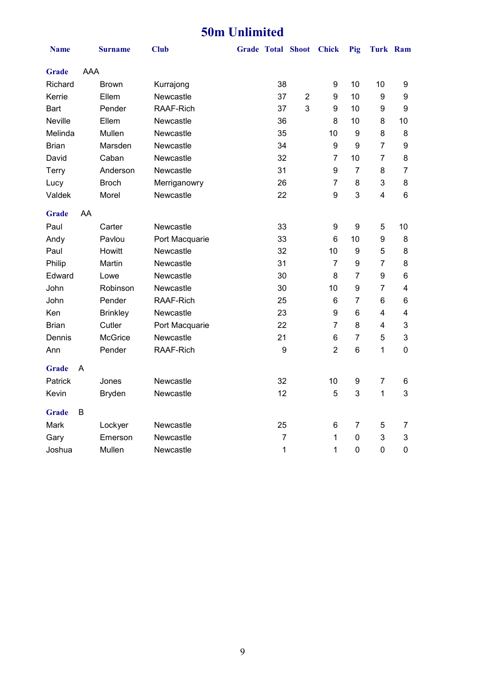### **50m Unlimited**

| <b>Name</b>    |     | <b>Surname</b>  | <b>Club</b>      |                | Grade Total Shoot Chick |                | Pig            | <b>Turk Ram</b>         |                  |
|----------------|-----|-----------------|------------------|----------------|-------------------------|----------------|----------------|-------------------------|------------------|
| Grade          | AAA |                 |                  |                |                         |                |                |                         |                  |
| Richard        |     | <b>Brown</b>    | Kurrajong        | 38             |                         | 9              | 10             | 10                      | 9                |
| Kerrie         |     | Ellem           | Newcastle        | 37             | $\overline{2}$          | 9              | 10             | 9                       | 9                |
| <b>Bart</b>    |     | Pender          | RAAF-Rich        | 37             | 3                       | 9              | 10             | 9                       | $\boldsymbol{9}$ |
| <b>Neville</b> |     | Ellem           | Newcastle        | 36             |                         | 8              | 10             | 8                       | 10               |
| Melinda        |     | Mullen          | Newcastle        | 35             |                         | 10             | 9              | 8                       | 8                |
| <b>Brian</b>   |     | Marsden         | Newcastle        | 34             |                         | 9              | 9              | $\overline{7}$          | $\boldsymbol{9}$ |
| David          |     | Caban           | Newcastle        | 32             |                         | 7              | 10             | $\overline{7}$          | 8                |
| Terry          |     | Anderson        | Newcastle        | 31             |                         | 9              | $\overline{7}$ | 8                       | $\overline{7}$   |
| Lucy           |     | <b>Broch</b>    | Merriganowry     | 26             |                         | $\overline{7}$ | 8              | 3                       | 8                |
| Valdek         |     | Morel           | Newcastle        | 22             |                         | 9              | 3              | $\overline{\mathbf{4}}$ | 6                |
| <b>Grade</b>   | AA  |                 |                  |                |                         |                |                |                         |                  |
| Paul           |     | Carter          | Newcastle        | 33             |                         | 9              | 9              | 5                       | 10               |
| Andy           |     | Pavlou          | Port Macquarie   | 33             |                         | 6              | 10             | $\boldsymbol{9}$        | 8                |
| Paul           |     | Howitt          | Newcastle        | 32             |                         | 10             | 9              | 5                       | 8                |
| Philip         |     | Martin          | Newcastle        | 31             |                         | $\overline{7}$ | 9              | $\overline{7}$          | 8                |
| Edward         |     | Lowe            | Newcastle        | 30             |                         | 8              | $\overline{7}$ | 9                       | 6                |
| John           |     | Robinson        | Newcastle        | 30             |                         | 10             | 9              | $\overline{7}$          | 4                |
| John           |     | Pender          | <b>RAAF-Rich</b> | 25             |                         | 6              | $\overline{7}$ | 6                       | 6                |
| Ken            |     | <b>Brinkley</b> | Newcastle        | 23             |                         | 9              | 6              | $\overline{4}$          | 4                |
| <b>Brian</b>   |     | Cutler          | Port Macquarie   | 22             |                         | $\overline{7}$ | 8              | 4                       | 3                |
| Dennis         |     | <b>McGrice</b>  | Newcastle        | 21             |                         | 6              | $\overline{7}$ | 5                       | 3                |
| Ann            |     | Pender          | RAAF-Rich        | 9              |                         | $\overline{2}$ | 6              | 1                       | 0                |
| <b>Grade</b>   | A   |                 |                  |                |                         |                |                |                         |                  |
| Patrick        |     | Jones           | Newcastle        | 32             |                         | 10             | 9              | $\overline{7}$          | 6                |
| Kevin          |     | <b>Bryden</b>   | Newcastle        | 12             |                         | 5              | 3              | 1                       | 3                |
| <b>Grade</b>   | В   |                 |                  |                |                         |                |                |                         |                  |
| Mark           |     | Lockyer         | Newcastle        | 25             |                         | 6              | $\overline{7}$ | 5                       | 7                |
| Gary           |     | Emerson         | Newcastle        | $\overline{7}$ |                         | 1              | 0              | 3                       | 3                |
| Joshua         |     | Mullen          | Newcastle        | $\mathbf 1$    |                         | 1              | 0              | $\mathbf 0$             | $\mathbf 0$      |